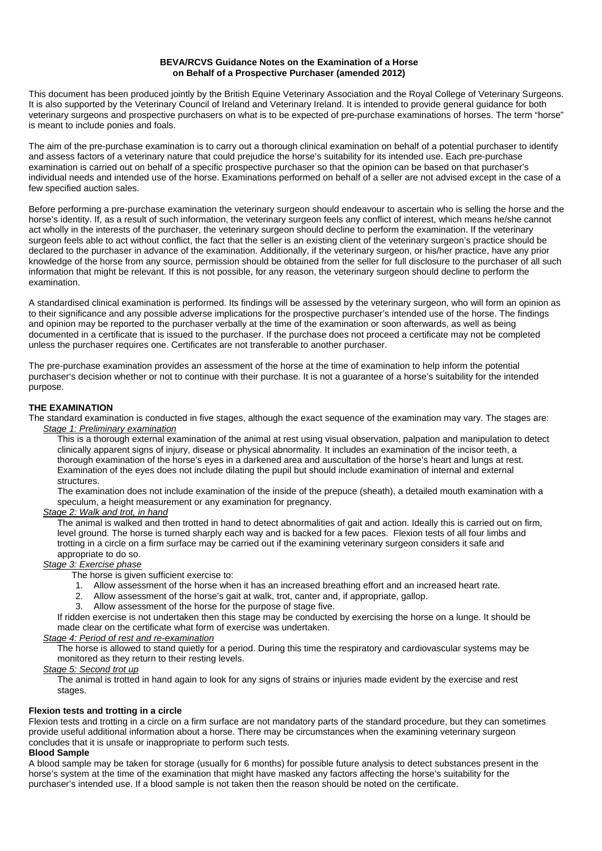#### **BEVA/RCVS Guidance Notes on the Examination of a Horse on Behalf of a Prospective Purchaser (amended 2012)**

This document has been produced jointly by the British Equine Veterinary Association and the Royal College of Veterinary Surgeons. It is also supported by the Veterinary Council of Ireland and Veterinary Ireland. It is intended to provide general guidance for both veterinary surgeons and prospective purchasers on what is to be expected of pre-purchase examinations of horses. The term "horse" is meant to include ponies and foals.

The aim of the pre-purchase examination is to carry out a thorough clinical examination on behalf of a potential purchaser to identify and assess factors of a veterinary nature that could prejudice the horse's suitability for its intended use. Each pre-purchase examination is carried out on behalf of a specific prospective purchaser so that the opinion can be based on that purchaser's individual needs and intended use of the horse. Examinations performed on behalf of a seller are not advised except in the case of a few specified auction sales.

Before performing a pre-purchase examination the veterinary surgeon should endeavour to ascertain who is selling the horse and the horse's identity. If, as a result of such information, the veterinary surgeon feels any conflict of interest, which means he/she cannot act wholly in the interests of the purchaser, the veterinary surgeon should decline to perform the examination. If the veterinary surgeon feels able to act without conflict, the fact that the seller is an existing client of the veterinary surgeon's practice should be declared to the purchaser in advance of the examination. Additionally, if the veterinary surgeon, or his/her practice, have any prior knowledge of the horse from any source, permission should be obtained from the seller for full disclosure to the purchaser of all such information that might be relevant. If this is not possible, for any reason, the veterinary surgeon should decline to perform the examination.

A standardised clinical examination is performed. Its findings will be assessed by the veterinary surgeon, who will form an opinion as to their significance and any possible adverse implications for the prospective purchaser's intended use of the horse. The findings and opinion may be reported to the purchaser verbally at the time of the examination or soon afterwards, as well as being documented in a certificate that is issued to the purchaser. If the purchase does not proceed a certificate may not be completed unless the purchaser requires one. Certificates are not transferable to another purchaser.

The pre-purchase examination provides an assessment of the horse at the time of examination to help inform the potential purchaser's decision whether or not to continue with their purchase. It is not a guarantee of a horse's suitability for the intended purpose.

### **THE EXAMINATION**

The standard examination is conducted in five stages, although the exact sequence of the examination may vary. The stages are: *Stage 1: Preliminary examination* 

This is a thorough external examination of the animal at rest using visual observation, palpation and manipulation to detect clinically apparent signs of injury, disease or physical abnormality. It includes an examination of the incisor teeth, a thorough examination of the horse's eyes in a darkened area and auscultation of the horse's heart and lungs at rest. Examination of the eyes does not include dilating the pupil but should include examination of internal and external **structures** 

The examination does not include examination of the inside of the prepuce (sheath), a detailed mouth examination with a speculum, a height measurement or any examination for pregnancy.

### *Stage 2: Walk and trot, in hand*

The animal is walked and then trotted in hand to detect abnormalities of gait and action. Ideally this is carried out on firm, level ground. The horse is turned sharply each way and is backed for a few paces. Flexion tests of all four limbs and trotting in a circle on a firm surface may be carried out if the examining veterinary surgeon considers it safe and appropriate to do so.

## *Stage 3: Exercise phase*

The horse is given sufficient exercise to:

- 1. Allow assessment of the horse when it has an increased breathing effort and an increased heart rate.
- 2. Allow assessment of the horse's gait at walk, trot, canter and, if appropriate, gallop.
- 3. Allow assessment of the horse for the purpose of stage five.

If ridden exercise is not undertaken then this stage may be conducted by exercising the horse on a lunge. It should be made clear on the certificate what form of exercise was undertaken.

## *Stage 4: Period of rest and re-examination*

The horse is allowed to stand quietly for a period. During this time the respiratory and cardiovascular systems may be monitored as they return to their resting levels.

## *Stage 5: Second trot up*

The animal is trotted in hand again to look for any signs of strains or injuries made evident by the exercise and rest stages.

### **Flexion tests and trotting in a circle**

Flexion tests and trotting in a circle on a firm surface are not mandatory parts of the standard procedure, but they can sometimes provide useful additional information about a horse. There may be circumstances when the examining veterinary surgeon concludes that it is unsafe or inappropriate to perform such tests.

## **Blood Sample**

A blood sample may be taken for storage (usually for 6 months) for possible future analysis to detect substances present in the horse's system at the time of the examination that might have masked any factors affecting the horse's suitability for the purchaser's intended use. If a blood sample is not taken then the reason should be noted on the certificate.